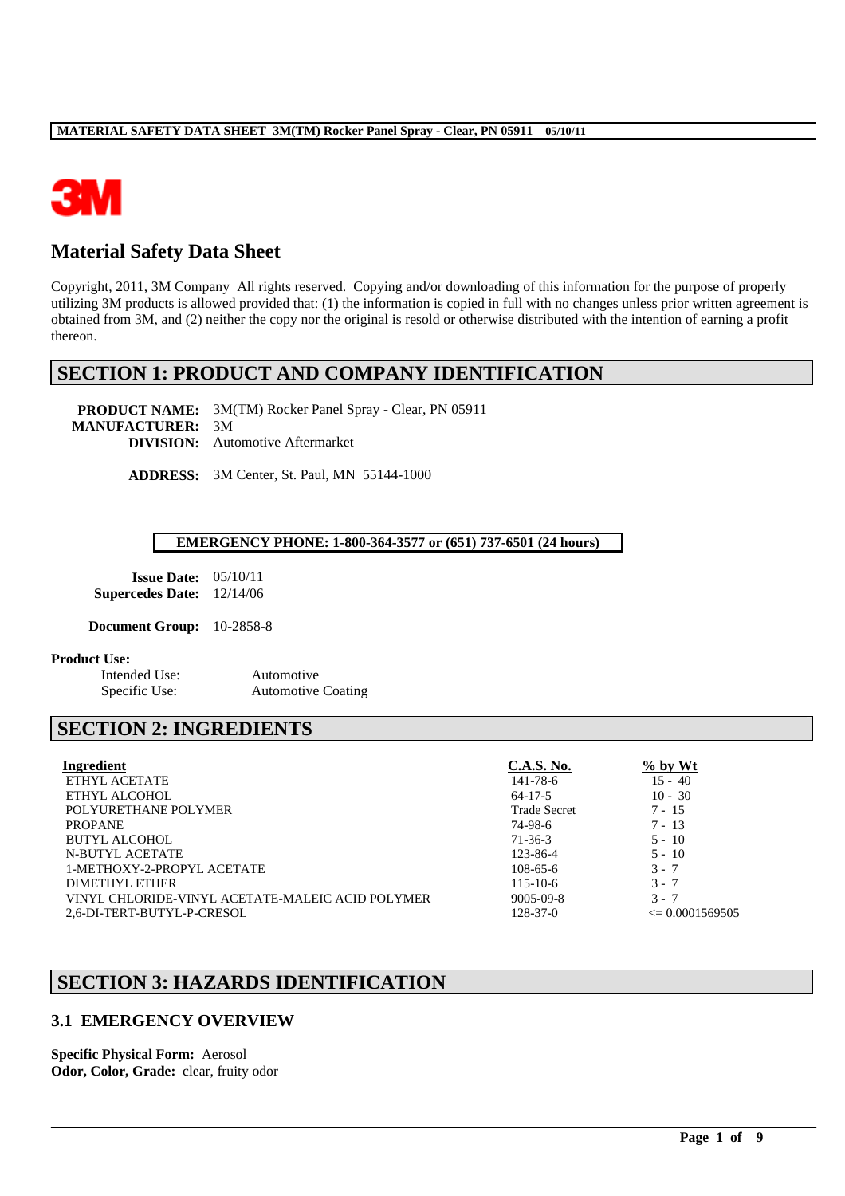

# **Material Safety Data Sheet**

Copyright, 2011, 3M Company All rights reserved. Copying and/or downloading of this information for the purpose of properly utilizing 3M products is allowed provided that: (1) the information is copied in full with no changes unless prior written agreement is obtained from 3M, and (2) neither the copy nor the original is resold or otherwise distributed with the intention of earning a profit thereon.

## **SECTION 1: PRODUCT AND COMPANY IDENTIFICATION**

**PRODUCT NAME:** 3M(TM) Rocker Panel Spray - Clear, PN 05911 **MANUFACTURER:** 3M **DIVISION:** Automotive Aftermarket

**ADDRESS:** 3M Center, St. Paul, MN 55144-1000

#### **EMERGENCY PHONE: 1-800-364-3577 or (651) 737-6501 (24 hours)**

| <b>Issue Date:</b>      | 0.5/10/11 |
|-------------------------|-----------|
| <b>Supercedes Date:</b> | 12/14/06  |

**Document Group:** 10-2858-8

#### **Product Use:**

Intended Use: Automotive

Specific Use: Automotive Coating

# **SECTION 2: INGREDIENTS**

| Ingredient                                       | <b>C.A.S. No.</b>   | $\%$ by Wt          |
|--------------------------------------------------|---------------------|---------------------|
| ETHYL ACETATE                                    | 141-78-6            | $15 - 40$           |
| ETHYL ALCOHOL                                    | $64 - 17 - 5$       | $10 - 30$           |
| POLYURETHANE POLYMER                             | <b>Trade Secret</b> | $7 - 15$            |
| <b>PROPANE</b>                                   | 74-98-6             | $7 - 13$            |
| BUTYL ALCOHOL                                    | $71 - 36 - 3$       | $5 - 10$            |
| N-BUTYL ACETATE                                  | 123-86-4            | $5 - 10$            |
| 1-METHOXY-2-PROPYL ACETATE                       | $108 - 65 - 6$      | $3 - 7$             |
| DIMETHYL ETHER                                   | $115 - 10 - 6$      | $3 - 7$             |
| VINYL CHLORIDE-VINYL ACETATE-MALEIC ACID POLYMER | $9005 - 09 - 8$     | $3 - 7$             |
| 2.6-DI-TERT-BUTYL-P-CRESOL                       | $128 - 37 - 0$      | $\leq 0.0001569505$ |

\_\_\_\_\_\_\_\_\_\_\_\_\_\_\_\_\_\_\_\_\_\_\_\_\_\_\_\_\_\_\_\_\_\_\_\_\_\_\_\_\_\_\_\_\_\_\_\_\_\_\_\_\_\_\_\_\_\_\_\_\_\_\_\_\_\_\_\_\_\_\_\_\_\_\_\_\_\_\_\_\_\_\_\_\_\_\_\_\_\_\_\_\_\_\_\_\_

# **SECTION 3: HAZARDS IDENTIFICATION**

## **3.1 EMERGENCY OVERVIEW**

**Specific Physical Form:** Aerosol **Odor, Color, Grade:** clear, fruity odor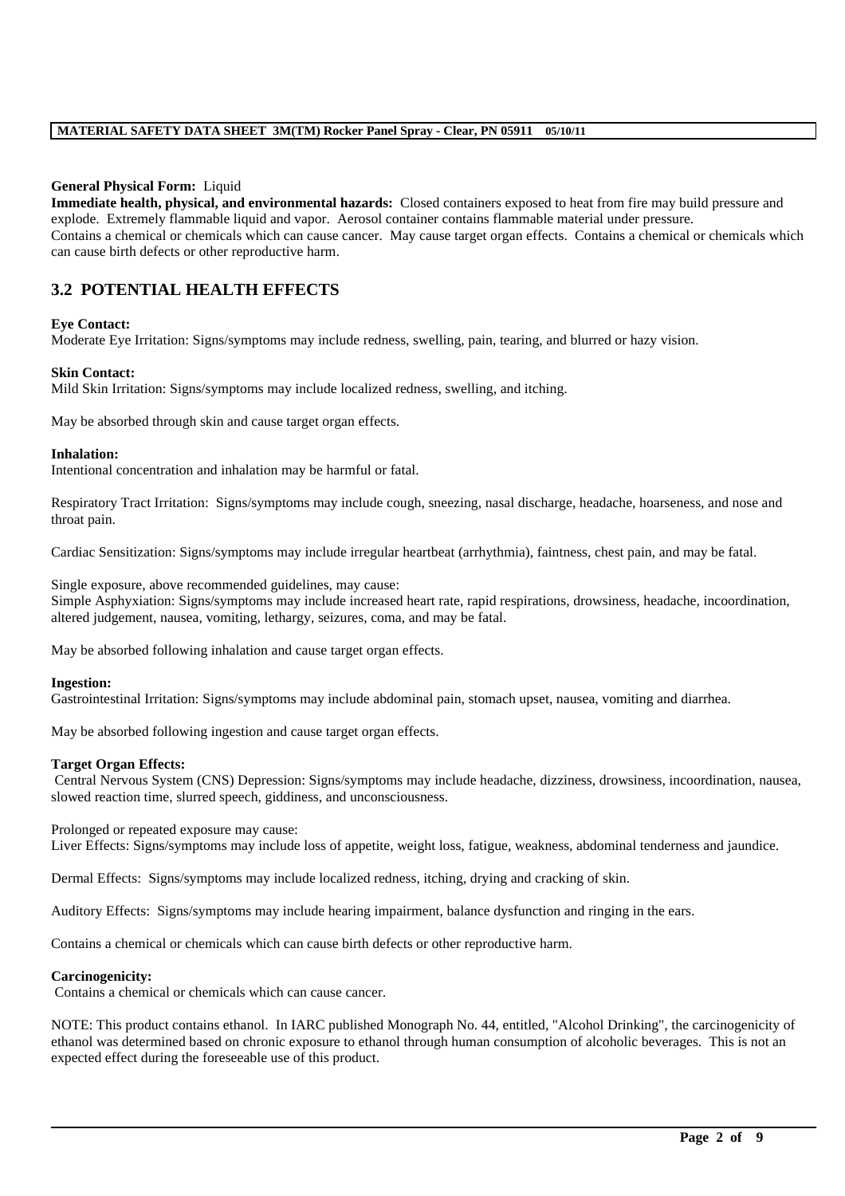#### **General Physical Form:** Liquid

**Immediate health, physical, and environmental hazards:** Closed containers exposed to heat from fire may build pressure and explode. Extremely flammable liquid and vapor. Aerosol container contains flammable material under pressure. Contains a chemical or chemicals which can cause cancer. May cause target organ effects. Contains a chemical or chemicals which can cause birth defects or other reproductive harm.

## **3.2 POTENTIAL HEALTH EFFECTS**

#### **Eye Contact:**

Moderate Eye Irritation: Signs/symptoms may include redness, swelling, pain, tearing, and blurred or hazy vision.

#### **Skin Contact:**

Mild Skin Irritation: Signs/symptoms may include localized redness, swelling, and itching.

May be absorbed through skin and cause target organ effects.

#### **Inhalation:**

Intentional concentration and inhalation may be harmful or fatal.

Respiratory Tract Irritation: Signs/symptoms may include cough, sneezing, nasal discharge, headache, hoarseness, and nose and throat pain.

Cardiac Sensitization: Signs/symptoms may include irregular heartbeat (arrhythmia), faintness, chest pain, and may be fatal.

Single exposure, above recommended guidelines, may cause: Simple Asphyxiation: Signs/symptoms may include increased heart rate, rapid respirations, drowsiness, headache, incoordination, altered judgement, nausea, vomiting, lethargy, seizures, coma, and may be fatal.

May be absorbed following inhalation and cause target organ effects.

#### **Ingestion:**

Gastrointestinal Irritation: Signs/symptoms may include abdominal pain, stomach upset, nausea, vomiting and diarrhea.

May be absorbed following ingestion and cause target organ effects.

#### **Target Organ Effects:**

Central Nervous System (CNS) Depression: Signs/symptoms may include headache, dizziness, drowsiness, incoordination, nausea, slowed reaction time, slurred speech, giddiness, and unconsciousness.

Prolonged or repeated exposure may cause:

Liver Effects: Signs/symptoms may include loss of appetite, weight loss, fatigue, weakness, abdominal tenderness and jaundice.

Dermal Effects: Signs/symptoms may include localized redness, itching, drying and cracking of skin.

Auditory Effects: Signs/symptoms may include hearing impairment, balance dysfunction and ringing in the ears.

Contains a chemical or chemicals which can cause birth defects or other reproductive harm.

#### **Carcinogenicity:**

Contains a chemical or chemicals which can cause cancer.

NOTE: This product contains ethanol. In IARC published Monograph No. 44, entitled, "Alcohol Drinking", the carcinogenicity of ethanol was determined based on chronic exposure to ethanol through human consumption of alcoholic beverages. This is not an expected effect during the foreseeable use of this product.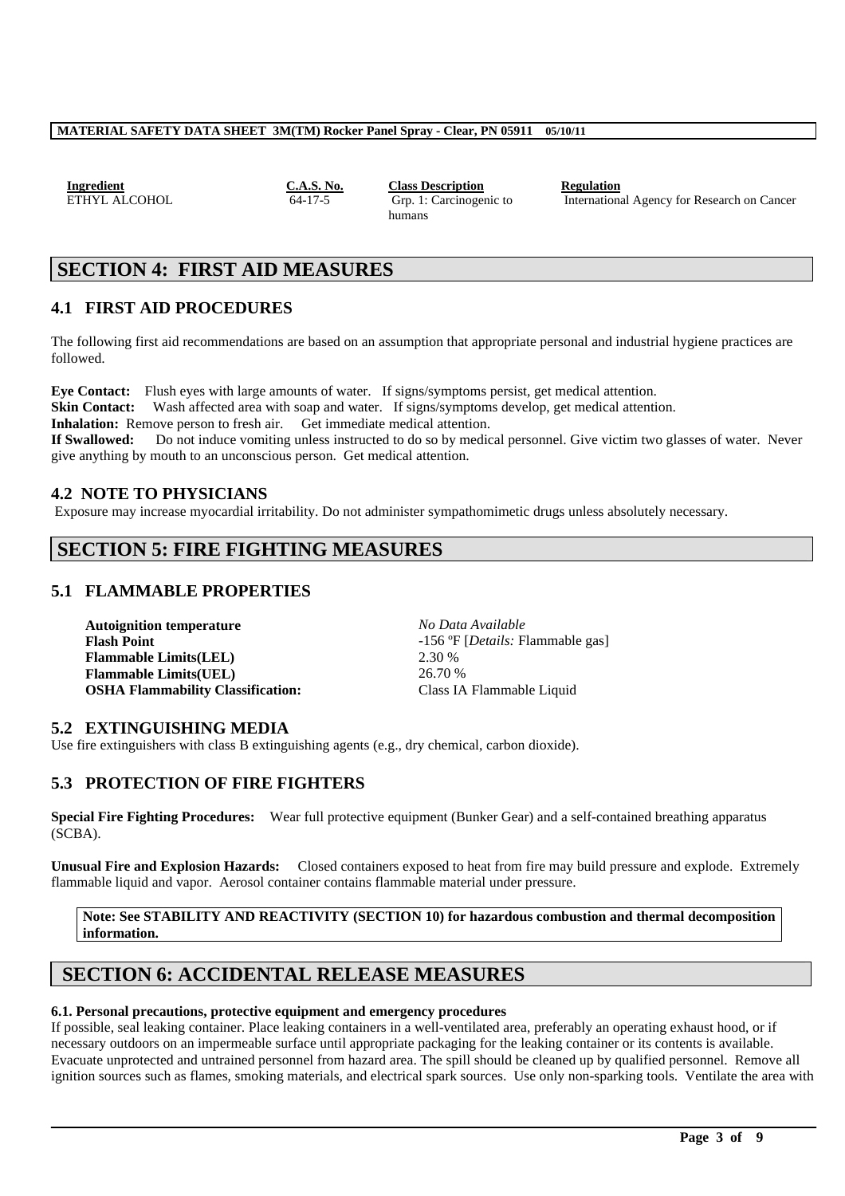| Ingredient    |  |  |
|---------------|--|--|
| ETHYL ALCOHOI |  |  |

**IC.A.S. No. Class Description Regulation**<br> **C.A.17-5 C.A. L.C.Arcinogenic to Internation** Grp. 1: Carcinogenic to humans

International Agency for Research on Cancer

# **SECTION 4: FIRST AID MEASURES**

## **4.1 FIRST AID PROCEDURES**

The following first aid recommendations are based on an assumption that appropriate personal and industrial hygiene practices are followed.

**Eye Contact:** Flush eyes with large amounts of water. If signs/symptoms persist, get medical attention. **Skin Contact:** Wash affected area with soap and water. If signs/symptoms develop, get medical attention. Inhalation: Remove person to fresh air. Get immediate medical attention. **If Swallowed:** Do not induce vomiting unless instructed to do so by medical personnel. Give victim two glasses of water. Never give anything by mouth to an unconscious person. Get medical attention.

## **4.2 NOTE TO PHYSICIANS**

Exposure may increase myocardial irritability. Do not administer sympathomimetic drugs unless absolutely necessary.

# **SECTION 5: FIRE FIGHTING MEASURES**

## **5.1 FLAMMABLE PROPERTIES**

**Autoignition temperature** *No Data Available* **Flash Point** -156 ºF [*Details:* Flammable gas] **Flammable Limits(LEL)** 2.30 % **Flammable Limits(UEL)** 26.70 % **OSHA Flammability Classification:** Class IA Flammable Liquid

## **5.2 EXTINGUISHING MEDIA**

Use fire extinguishers with class B extinguishing agents (e.g., dry chemical, carbon dioxide).

## **5.3 PROTECTION OF FIRE FIGHTERS**

**Special Fire Fighting Procedures:** Wear full protective equipment (Bunker Gear) and a self-contained breathing apparatus  $(SCBA)$ .

**Unusual Fire and Explosion Hazards:** Closed containers exposed to heat from fire may build pressure and explode. Extremely flammable liquid and vapor. Aerosol container contains flammable material under pressure.

**Note: See STABILITY AND REACTIVITY (SECTION 10) for hazardous combustion and thermal decomposition information.**

# **SECTION 6: ACCIDENTAL RELEASE MEASURES**

#### **6.1. Personal precautions, protective equipment and emergency procedures**

If possible, seal leaking container. Place leaking containers in a well-ventilated area, preferably an operating exhaust hood, or if necessary outdoors on an impermeable surface until appropriate packaging for the leaking container or its contents is available. Evacuate unprotected and untrained personnel from hazard area. The spill should be cleaned up by qualified personnel. Remove all ignition sources such as flames, smoking materials, and electrical spark sources. Use only non-sparking tools. Ventilate the area with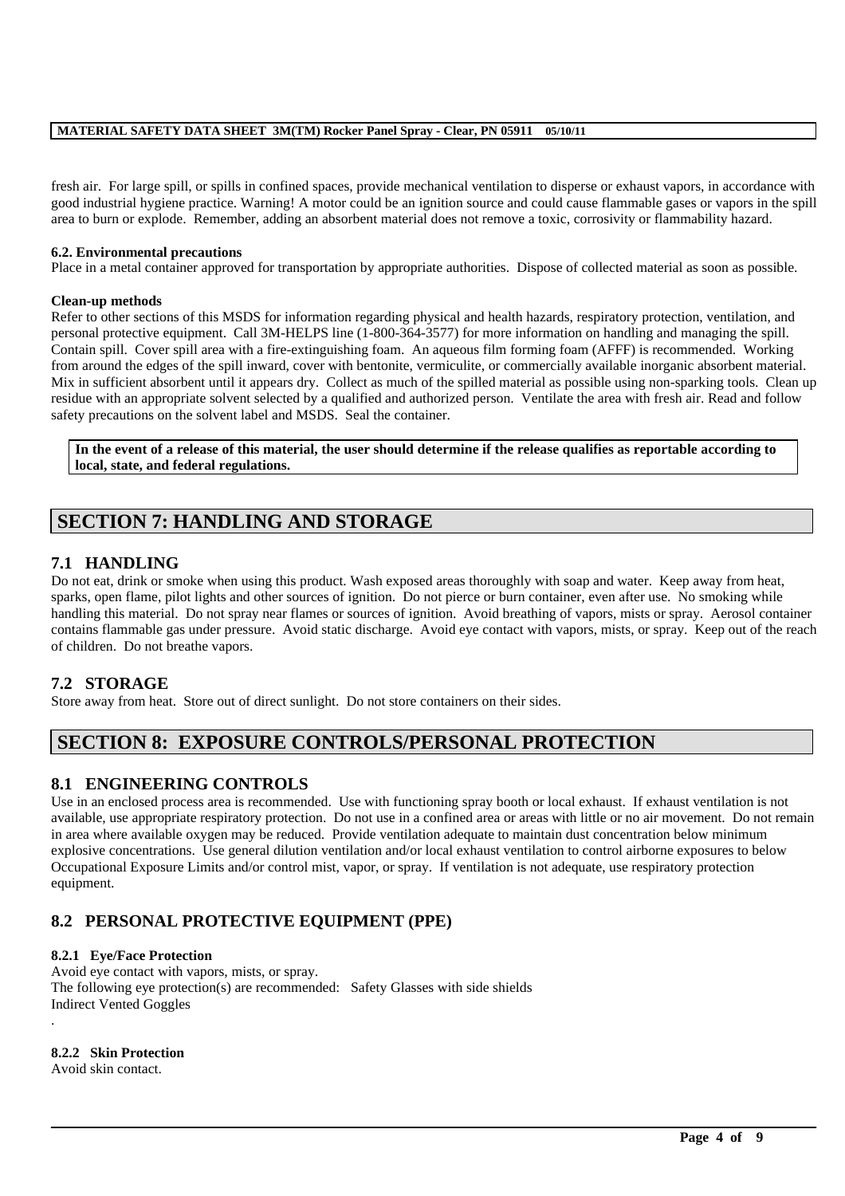fresh air. For large spill, or spills in confined spaces, provide mechanical ventilation to disperse or exhaust vapors, in accordance with good industrial hygiene practice. Warning! A motor could be an ignition source and could cause flammable gases or vapors in the spill area to burn or explode. Remember, adding an absorbent material does not remove a toxic, corrosivity or flammability hazard.

#### **6.2. Environmental precautions**

Place in a metal container approved for transportation by appropriate authorities. Dispose of collected material as soon as possible.

#### **Clean-up methods**

Refer to other sections of this MSDS for information regarding physical and health hazards, respiratory protection, ventilation, and personal protective equipment. Call 3M-HELPS line (1-800-364-3577) for more information on handling and managing the spill. Contain spill. Cover spill area with a fire-extinguishing foam. An aqueous film forming foam (AFFF) is recommended. Working from around the edges of the spill inward, cover with bentonite, vermiculite, or commercially available inorganic absorbent material. Mix in sufficient absorbent until it appears dry. Collect as much of the spilled material as possible using non-sparking tools. Clean up residue with an appropriate solvent selected by a qualified and authorized person. Ventilate the area with fresh air. Read and follow safety precautions on the solvent label and MSDS. Seal the container.

**In the event of a release of this material, the user should determine if the release qualifies as reportable according to local, state, and federal regulations.**

# **SECTION 7: HANDLING AND STORAGE**

## **7.1 HANDLING**

Do not eat, drink or smoke when using this product. Wash exposed areas thoroughly with soap and water. Keep away from heat, sparks, open flame, pilot lights and other sources of ignition. Do not pierce or burn container, even after use. No smoking while handling this material. Do not spray near flames or sources of ignition. Avoid breathing of vapors, mists or spray. Aerosol container contains flammable gas under pressure. Avoid static discharge. Avoid eye contact with vapors, mists, or spray. Keep out of the reach of children. Do not breathe vapors.

## **7.2 STORAGE**

Store away from heat. Store out of direct sunlight. Do not store containers on their sides.

# **SECTION 8: EXPOSURE CONTROLS/PERSONAL PROTECTION**

## **8.1 ENGINEERING CONTROLS**

Use in an enclosed process area is recommended. Use with functioning spray booth or local exhaust. If exhaust ventilation is not available, use appropriate respiratory protection. Do not use in a confined area or areas with little or no air movement. Do not remain in area where available oxygen may be reduced. Provide ventilation adequate to maintain dust concentration below minimum explosive concentrations. Use general dilution ventilation and/or local exhaust ventilation to control airborne exposures to below Occupational Exposure Limits and/or control mist, vapor, or spray. If ventilation is not adequate, use respiratory protection equipment.

\_\_\_\_\_\_\_\_\_\_\_\_\_\_\_\_\_\_\_\_\_\_\_\_\_\_\_\_\_\_\_\_\_\_\_\_\_\_\_\_\_\_\_\_\_\_\_\_\_\_\_\_\_\_\_\_\_\_\_\_\_\_\_\_\_\_\_\_\_\_\_\_\_\_\_\_\_\_\_\_\_\_\_\_\_\_\_\_\_\_\_\_\_\_\_\_\_

## **8.2 PERSONAL PROTECTIVE EQUIPMENT (PPE)**

#### **8.2.1 Eye/Face Protection**

Avoid eye contact with vapors, mists, or spray. The following eye protection(s) are recommended: Safety Glasses with side shields Indirect Vented Goggles .

**8.2.2 Skin Protection**

Avoid skin contact.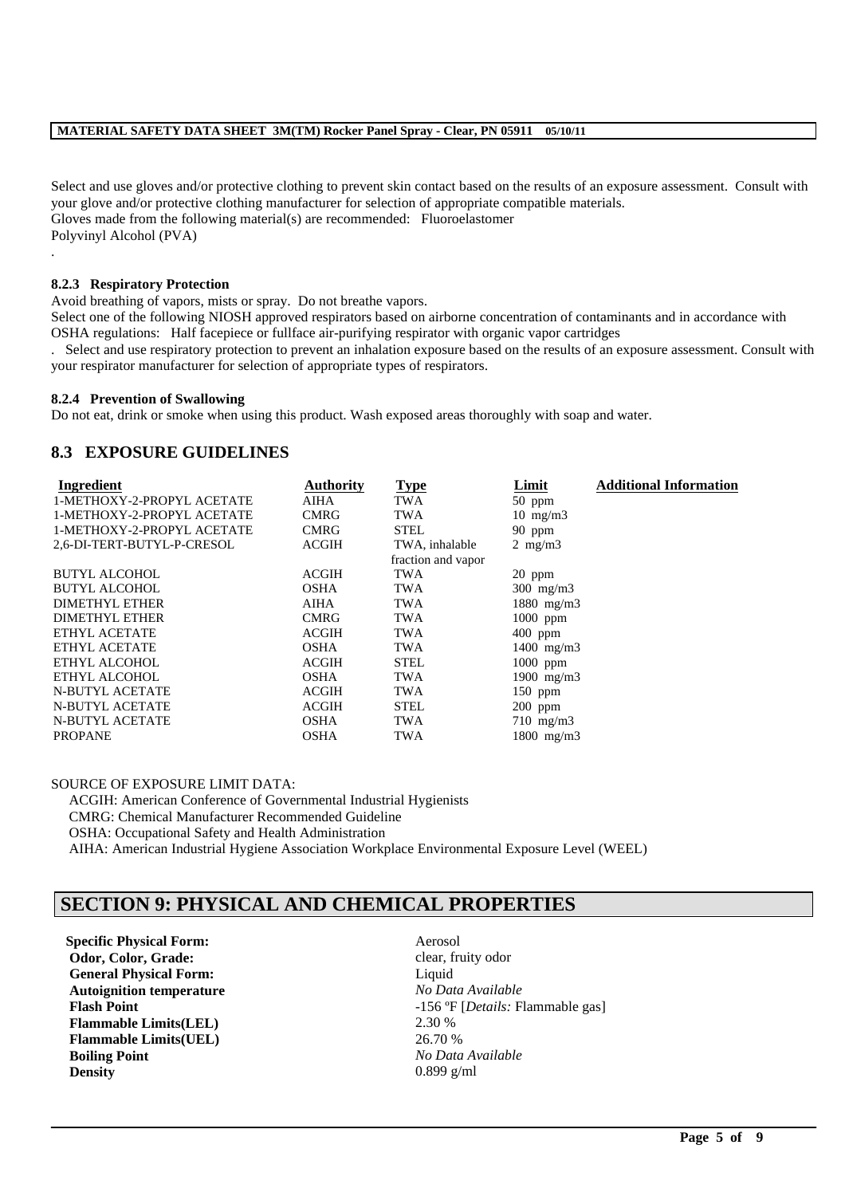Select and use gloves and/or protective clothing to prevent skin contact based on the results of an exposure assessment. Consult with your glove and/or protective clothing manufacturer for selection of appropriate compatible materials. Gloves made from the following material(s) are recommended: Fluoroelastomer Polyvinyl Alcohol (PVA) .

#### **8.2.3 Respiratory Protection**

Avoid breathing of vapors, mists or spray. Do not breathe vapors.

Select one of the following NIOSH approved respirators based on airborne concentration of contaminants and in accordance with OSHA regulations: Half facepiece or fullface air-purifying respirator with organic vapor cartridges

. Select and use respiratory protection to prevent an inhalation exposure based on the results of an exposure assessment. Consult with your respirator manufacturer for selection of appropriate types of respirators.

#### **8.2.4 Prevention of Swallowing**

Do not eat, drink or smoke when using this product. Wash exposed areas thoroughly with soap and water.

### **8.3 EXPOSURE GUIDELINES**

| Ingredient                 | <b>Authority</b> | <b>Type</b>        | Limit             | <b>Additional Information</b> |
|----------------------------|------------------|--------------------|-------------------|-------------------------------|
| 1-METHOXY-2-PROPYL ACETATE | <b>AIHA</b>      | TWA                | $50$ ppm          |                               |
| 1-METHOXY-2-PROPYL ACETATE | <b>CMRG</b>      | <b>TWA</b>         | $10 \text{ mg/m}$ |                               |
| 1-METHOXY-2-PROPYL ACETATE | <b>CMRG</b>      | STEL               | 90 ppm            |                               |
| 2,6-DI-TERT-BUTYL-P-CRESOL | <b>ACGIH</b>     | TWA, inhalable     | $2 \text{ mg/m}$  |                               |
|                            |                  | fraction and vapor |                   |                               |
| <b>BUTYL ALCOHOL</b>       | ACGIH            | TWA                | $20$ ppm          |                               |
| <b>BUTYL ALCOHOL</b>       | <b>OSHA</b>      | <b>TWA</b>         | $300$ mg/m $3$    |                               |
| <b>DIMETHYL ETHER</b>      | AIHA             | TWA                | 1880 mg/m3        |                               |
| <b>DIMETHYL ETHER</b>      | <b>CMRG</b>      | <b>TWA</b>         | 1000 ppm          |                               |
| ETHYL ACETATE              | <b>ACGIH</b>     | TWA                | $400$ ppm         |                               |
| <b>ETHYL ACETATE</b>       | <b>OSHA</b>      | TWA                | $1400$ mg/m3      |                               |
| ETHYL ALCOHOL              | ACGIH            | <b>STEL</b>        | 1000 ppm          |                               |
| ETHYL ALCOHOL              | <b>OSHA</b>      | TWA                | 1900 $mg/m3$      |                               |
| <b>N-BUTYL ACETATE</b>     | <b>ACGIH</b>     | TWA                | 150 ppm           |                               |
| <b>N-BUTYL ACETATE</b>     | <b>ACGIH</b>     | <b>STEL</b>        | $200$ ppm         |                               |
| N-BUTYL ACETATE            | <b>OSHA</b>      | TWA                | $710$ mg/m $3$    |                               |
| <b>PROPANE</b>             | <b>OSHA</b>      | TWA                | $1800$ mg/m3      |                               |

SOURCE OF EXPOSURE LIMIT DATA:

ACGIH: American Conference of Governmental Industrial Hygienists CMRG: Chemical Manufacturer Recommended Guideline OSHA: Occupational Safety and Health Administration AIHA: American Industrial Hygiene Association Workplace Environmental Exposure Level (WEEL)

## **SECTION 9: PHYSICAL AND CHEMICAL PROPERTIES**

**Specific Physical Form:** Aerosol **Odor, Color, Grade:** Clear, fruity odor **General Physical Form:** Liquid **Autoignition temperature** *No Data Available*<br>**Flash Point** -156 °F [*Details:* F **Flammable Limits(LEL)** 2.30 % **Flammable Limits(UEL)** 26.70 % **Boiling Point** *No Data Available* **Density** 0.899 g/ml

**Flash Point** -156 ºF [*Details:* Flammable gas]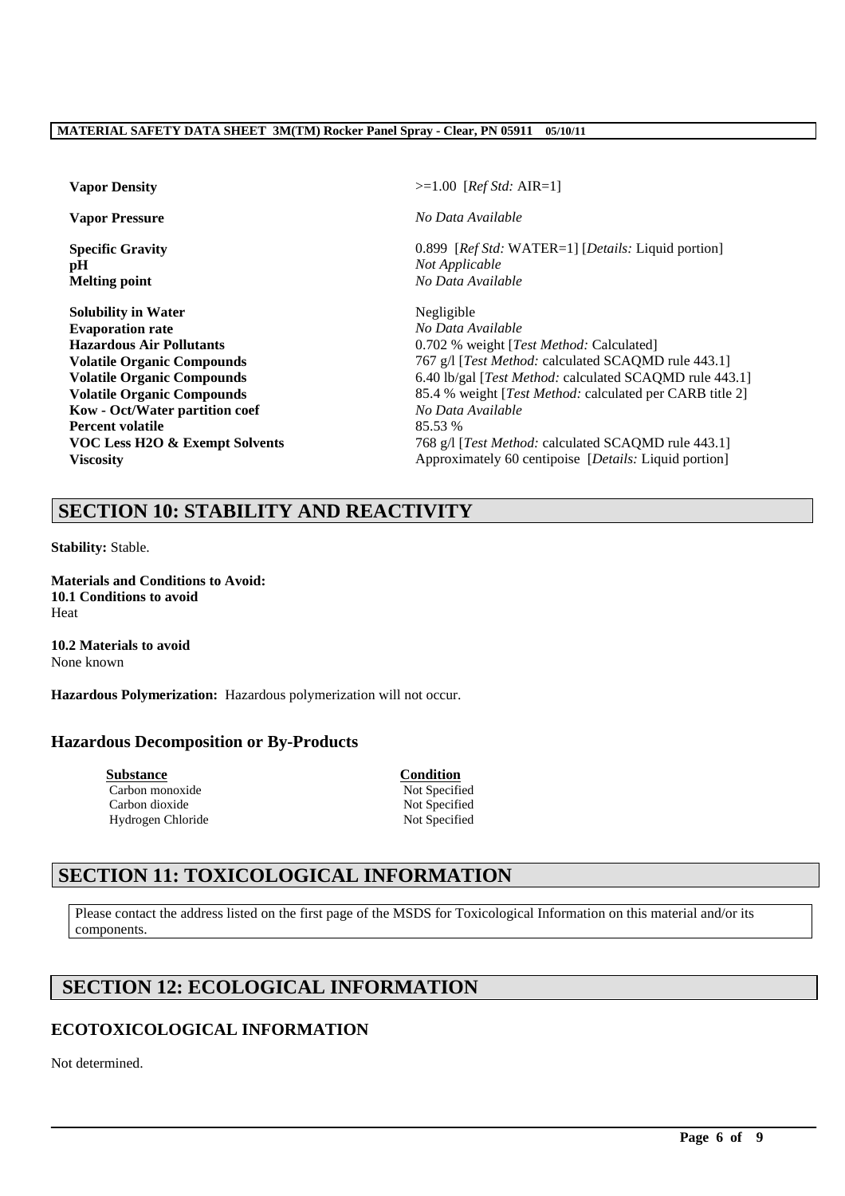**pH** *Not Applicable*

**Solubility in Water** Negligible **Evaporation rate** *No Data Available* **Kow - Oct/Water partition coef** *No Data Available* **Percent volatile** 85.53 %

**Vapor Density** >=1.00 [*Ref Std:* AIR=1]

**Vapor Pressure** *No Data Available*

**Specific Gravity** 0.899 [*Ref Std: WATER=1] [Details: Liquid portion]* **Melting point** *No Data Available*

**Hazardous Air Pollutants** 0.702 % weight [*Test Method:* Calculated] **Volatile Organic Compounds** 767 g/l [*Test Method: calculated SCAQMD rule 443.1*] **Volatile Organic Compounds** 6.40 lb/gal [*Test Method:* calculated SCAQMD rule 443.1] **Volatile Organic Compounds** 85.4 % weight [*Test Method:* calculated per CARB title 2] **VOC Less H2O & Exempt Solvents** 768 g/l [*Test Method: calculated SCAQMD rule 443.1*] **Viscosity** Approximately 60 centipoise [*Details: Liquid portion*]

# **SECTION 10: STABILITY AND REACTIVITY**

**Stability:** Stable.

**Materials and Conditions to Avoid: 10.1 Conditions to avoid** Heat

**10.2 Materials to avoid** None known

**Hazardous Polymerization:** Hazardous polymerization will not occur.

## **Hazardous Decomposition or By-Products**

**Substance Condition** Carbon monoxide Not Specified Carbon dioxide Not Specified Hydrogen Chloride Not Specified

# **SECTION 11: TOXICOLOGICAL INFORMATION**

Please contact the address listed on the first page of the MSDS for Toxicological Information on this material and/or its components.

\_\_\_\_\_\_\_\_\_\_\_\_\_\_\_\_\_\_\_\_\_\_\_\_\_\_\_\_\_\_\_\_\_\_\_\_\_\_\_\_\_\_\_\_\_\_\_\_\_\_\_\_\_\_\_\_\_\_\_\_\_\_\_\_\_\_\_\_\_\_\_\_\_\_\_\_\_\_\_\_\_\_\_\_\_\_\_\_\_\_\_\_\_\_\_\_\_

# **SECTION 12: ECOLOGICAL INFORMATION**

# **ECOTOXICOLOGICAL INFORMATION**

Not determined.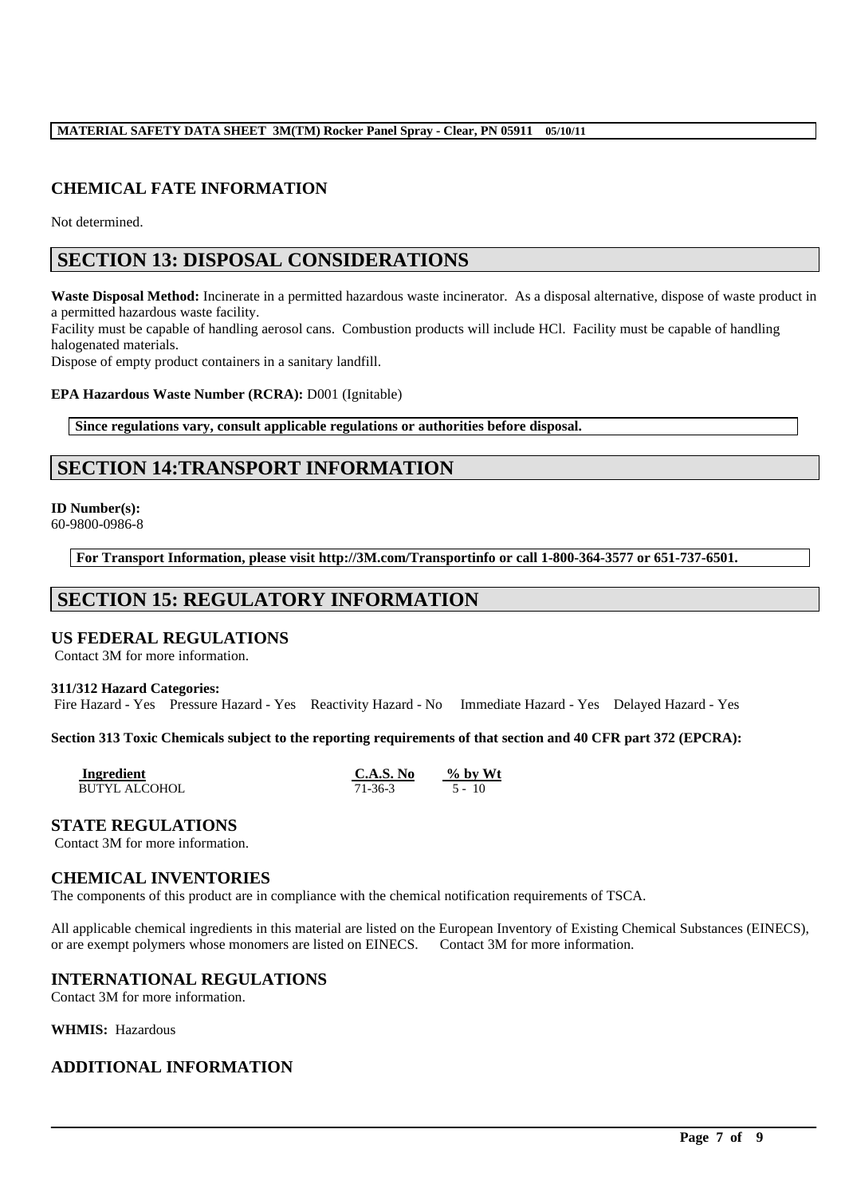## **CHEMICAL FATE INFORMATION**

Not determined.

## **SECTION 13: DISPOSAL CONSIDERATIONS**

**Waste Disposal Method:** Incinerate in a permitted hazardous waste incinerator. As a disposal alternative, dispose of waste product in a permitted hazardous waste facility.

Facility must be capable of handling aerosol cans. Combustion products will include HCl. Facility must be capable of handling halogenated materials.

Dispose of empty product containers in a sanitary landfill.

**EPA Hazardous Waste Number (RCRA):** D001 (Ignitable)

**Since regulations vary, consult applicable regulations or authorities before disposal.**

# **SECTION 14:TRANSPORT INFORMATION**

**ID Number(s):** 60-9800-0986-8

**For Transport Information, please visit http://3M.com/Transportinfo or call 1-800-364-3577 or 651-737-6501.**

# **SECTION 15: REGULATORY INFORMATION**

## **US FEDERAL REGULATIONS**

Contact 3M for more information.

#### **311/312 Hazard Categories:**

Fire Hazard - Yes Pressure Hazard - Yes Reactivity Hazard - No Immediate Hazard - Yes Delayed Hazard - Yes

#### **Section 313 Toxic Chemicals subject to the reporting requirements of that section and 40 CFR part 372 (EPCRA):**

| Ingredient           | C.A.S. No | $\%$ by Wt |  |
|----------------------|-----------|------------|--|
| <b>BUTYL ALCOHOL</b> | 71-36-3   | $5 - 10$   |  |

#### **STATE REGULATIONS**

Contact 3M for more information.

#### **CHEMICAL INVENTORIES**

The components of this product are in compliance with the chemical notification requirements of TSCA.

All applicable chemical ingredients in this material are listed on the European Inventory of Existing Chemical Substances (EINECS), or are exempt polymers whose monomers are listed on EINECS. Contact 3M for more information.

\_\_\_\_\_\_\_\_\_\_\_\_\_\_\_\_\_\_\_\_\_\_\_\_\_\_\_\_\_\_\_\_\_\_\_\_\_\_\_\_\_\_\_\_\_\_\_\_\_\_\_\_\_\_\_\_\_\_\_\_\_\_\_\_\_\_\_\_\_\_\_\_\_\_\_\_\_\_\_\_\_\_\_\_\_\_\_\_\_\_\_\_\_\_\_\_\_

## **INTERNATIONAL REGULATIONS**

Contact 3M for more information.

**WHMIS:** Hazardous

## **ADDITIONAL INFORMATION**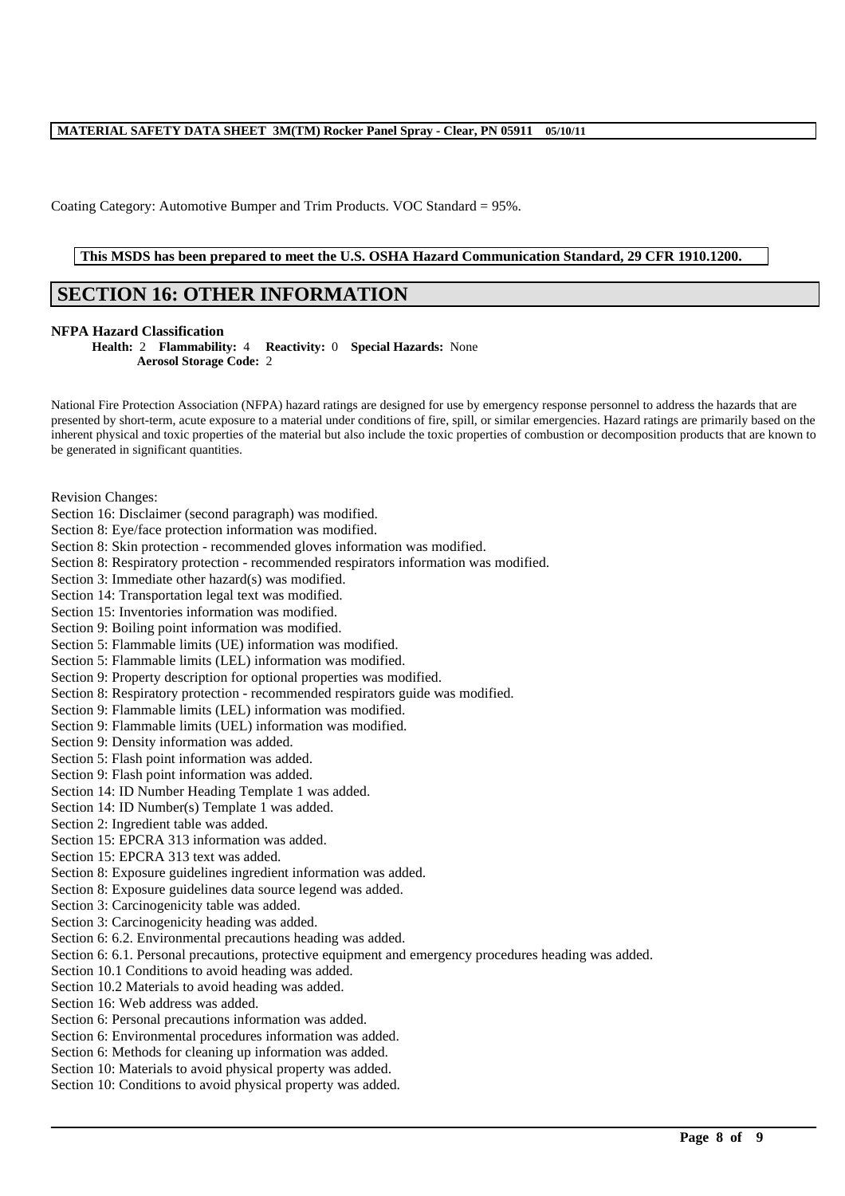Coating Category: Automotive Bumper and Trim Products. VOC Standard = 95%.

### **This MSDS has been prepared to meet the U.S. OSHA Hazard Communication Standard, 29 CFR 1910.1200.**

# **SECTION 16: OTHER INFORMATION**

#### **NFPA Hazard Classification**

**Health:** 2 **Flammability:** 4 **Reactivity:** 0 **Special Hazards:** None **Aerosol Storage Code:** 2

National Fire Protection Association (NFPA) hazard ratings are designed for use by emergency response personnel to address the hazards that are presented by short-term, acute exposure to a material under conditions of fire, spill, or similar emergencies. Hazard ratings are primarily based on the inherent physical and toxic properties of the material but also include the toxic properties of combustion or decomposition products that are known to be generated in significant quantities.

Revision Changes:

- Section 16: Disclaimer (second paragraph) was modified.
- Section 8: Eye/face protection information was modified.
- Section 8: Skin protection recommended gloves information was modified.
- Section 8: Respiratory protection recommended respirators information was modified.
- Section 3: Immediate other hazard(s) was modified.
- Section 14: Transportation legal text was modified.
- Section 15: Inventories information was modified.
- Section 9: Boiling point information was modified.
- Section 5: Flammable limits (UE) information was modified.
- Section 5: Flammable limits (LEL) information was modified.
- Section 9: Property description for optional properties was modified.
- Section 8: Respiratory protection recommended respirators guide was modified.
- Section 9: Flammable limits (LEL) information was modified.
- Section 9: Flammable limits (UEL) information was modified.
- Section 9: Density information was added.
- Section 5: Flash point information was added.
- Section 9: Flash point information was added.
- Section 14: ID Number Heading Template 1 was added.
- Section 14: ID Number(s) Template 1 was added.
- Section 2: Ingredient table was added.
- Section 15: EPCRA 313 information was added.
- Section 15: EPCRA 313 text was added.
- Section 8: Exposure guidelines ingredient information was added.
- Section 8: Exposure guidelines data source legend was added.
- Section 3: Carcinogenicity table was added.
- Section 3: Carcinogenicity heading was added.
- Section 6: 6.2. Environmental precautions heading was added.
- Section 6: 6.1. Personal precautions, protective equipment and emergency procedures heading was added.

- Section 10.1 Conditions to avoid heading was added.
- Section 10.2 Materials to avoid heading was added.
- Section 16: Web address was added.
- Section 6: Personal precautions information was added.
- Section 6: Environmental procedures information was added.
- Section 6: Methods for cleaning up information was added.
- Section 10: Materials to avoid physical property was added.
- Section 10: Conditions to avoid physical property was added.